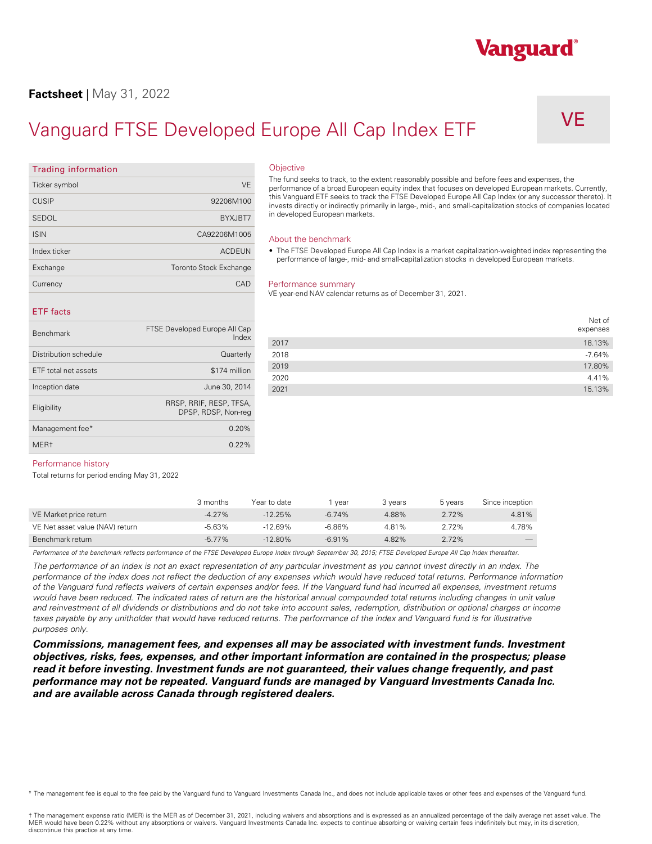# **Factsheet** | May 31, 2022

# Vanguard FTSE Developed Europe All Cap Index ETF

VE

Vanguard®

# **Trading information**  Ticker symbol VE CUSIP 92206M100 SEDOL BYXJBT7 ISIN CA92206M1005 Index ticker ACDEUN Exchange Toronto Stock Exchange **Currency CAD ETF facts**  Benchmark FTSE Developed Europe All Cap Index Distribution schedule **Quarterly** Quarterly ETF total net assets \$174 million

Inception date June 30, 2014 Eligibility RRSP, RRIF, RESP, TFSA,

Management fee $*$  0.20% MER† 0.22%

DPSP, RDSP, Non-reg

# **Objective**

The fund seeks to track, to the extent reasonably possible and before fees and expenses, the performance of a broad European equity index that focuses on developed European markets. Currently, this Vanguard ETF seeks to track the FTSE Developed Europe All Cap Index (or any successor thereto). It invests directly or indirectly primarily in large-, mid-, and small-capitalization stocks of companies located in developed European markets.

#### About the benchmark

• The FTSE Developed Europe All Cap Index is a market capitalization-weighted index representing the performance of large-, mid- and small-capitalization stocks in developed European markets.

#### Performance summary

VE year-end NAV calendar returns as of December 31, 2021.

|      | Net of<br>expenses |
|------|--------------------|
| 2017 | 18.13%             |
| 2018 | $-7.64%$           |
| 2019 | 17.80%             |
| 2020 | 4.41%              |
| 2021 | 15.13%             |

#### Performance history

Total returns for period ending May 31, 2022

|                                 | 3 months  | Year to date | vear     | 3 vears | 5 years | Since inception |
|---------------------------------|-----------|--------------|----------|---------|---------|-----------------|
| VE Market price return          | $-4.27\%$ | $-12.25%$    | $-6.74%$ | 4.88%   | 2.72%   | 4.81%           |
| VE Net asset value (NAV) return | $-5.63%$  | -12.69%      | -6.86%   | 4.81%   | 2.72%   | 4.78%           |
| Benchmark return                | $-5.77\%$ | $-12.80%$    | $-6.91%$ | 4.82%   | 2.72%   |                 |

Performance of the benchmark reflects performance of the FTSE Developed Europe Index through September 30, 2015; FTSE Developed Europe All Cap Index thereafter.

*The performance of an index is not an exact representation of any particular investment as you cannot invest directly in an index. The performance of the index does not reflect the deduction of any expenses which would have reduced total returns. Performance information of the Vanguard fund reflects waivers of certain expenses and/or fees. If the Vanguard fund had incurred all expenses, investment returns*  would have been reduced. The indicated rates of return are the historical annual compounded total returns including changes in unit value and reinvestment of all dividends or distributions and do not take into account sales, redemption, distribution or optional charges or income taxes payable by any unitholder that would have reduced returns. The performance of the index and Vanguard fund is for illustrative *purposes only.* 

*Commissions, management fees, and expenses all may be associated with investment funds. Investment objectives, risks, fees, expenses, and other important information are contained in the prospectus; please read it before investing. Investment funds are not guaranteed, their values change frequently, and past performance may not be repeated. Vanguard funds are managed by Vanguard Investments Canada Inc. and are available across Canada through registered dealers.* 

\* The management fee is equal to the fee paid by the Vanguard fund to Vanguard Investments Canada Inc., and does not include applicable taxes or other fees and expenses of the Vanguard fund.